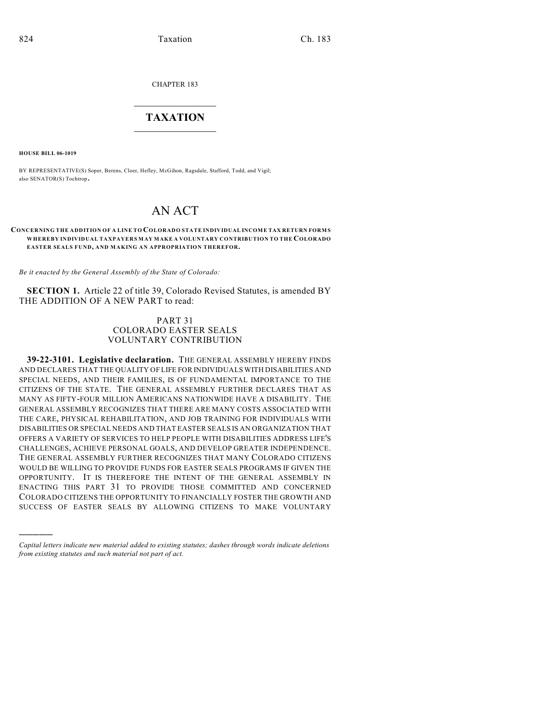CHAPTER 183

## $\overline{\phantom{a}}$  . The set of the set of the set of the set of the set of the set of the set of the set of the set of the set of the set of the set of the set of the set of the set of the set of the set of the set of the set o **TAXATION**  $\_$

**HOUSE BILL 06-1019**

)))))

BY REPRESENTATIVE(S) Soper, Berens, Cloer, Hefley, McGihon, Ragsdale, Stafford, Todd, and Vigil; also SENATOR(S) Tochtrop.

## AN ACT

## **CONCERNING THE ADDITION OF A LINE TO COLORADO STATE INDIVIDUAL INCOME TAX RETURN FORMS WHEREBY INDIVIDUAL TAXPAYERS MAY MAKE A VOLUNTARY CONTRIBUTION TO THE COLORADO EASTER SEALS FUND, AND MAKING AN APPROPRIATION THEREFOR.**

*Be it enacted by the General Assembly of the State of Colorado:*

**SECTION 1.** Article 22 of title 39, Colorado Revised Statutes, is amended BY THE ADDITION OF A NEW PART to read:

## PART 31 COLORADO EASTER SEALS VOLUNTARY CONTRIBUTION

**39-22-3101. Legislative declaration.** THE GENERAL ASSEMBLY HEREBY FINDS AND DECLARES THAT THE QUALITY OFLIFE FOR INDIVIDUALS WITH DISABILITIES AND SPECIAL NEEDS, AND THEIR FAMILIES, IS OF FUNDAMENTAL IMPORTANCE TO THE CITIZENS OF THE STATE. THE GENERAL ASSEMBLY FURTHER DECLARES THAT AS MANY AS FIFTY-FOUR MILLION AMERICANS NATIONWIDE HAVE A DISABILITY. THE GENERAL ASSEMBLY RECOGNIZES THAT THERE ARE MANY COSTS ASSOCIATED WITH THE CARE, PHYSICAL REHABILITATION, AND JOB TRAINING FOR INDIVIDUALS WITH DISABILITIES OR SPECIAL NEEDS AND THAT EASTER SEALS IS AN ORGANIZATION THAT OFFERS A VARIETY OF SERVICES TO HELP PEOPLE WITH DISABILITIES ADDRESS LIFE'S CHALLENGES, ACHIEVE PERSONAL GOALS, AND DEVELOP GREATER INDEPENDENCE. THE GENERAL ASSEMBLY FURTHER RECOGNIZES THAT MANY COLORADO CITIZENS WOULD BE WILLING TO PROVIDE FUNDS FOR EASTER SEALS PROGRAMS IF GIVEN THE OPPORTUNITY. IT IS THEREFORE THE INTENT OF THE GENERAL ASSEMBLY IN ENACTING THIS PART 31 TO PROVIDE THOSE COMMITTED AND CONCERNED COLORADO CITIZENS THE OPPORTUNITY TO FINANCIALLY FOSTER THE GROWTH AND SUCCESS OF EASTER SEALS BY ALLOWING CITIZENS TO MAKE VOLUNTARY

*Capital letters indicate new material added to existing statutes; dashes through words indicate deletions from existing statutes and such material not part of act.*